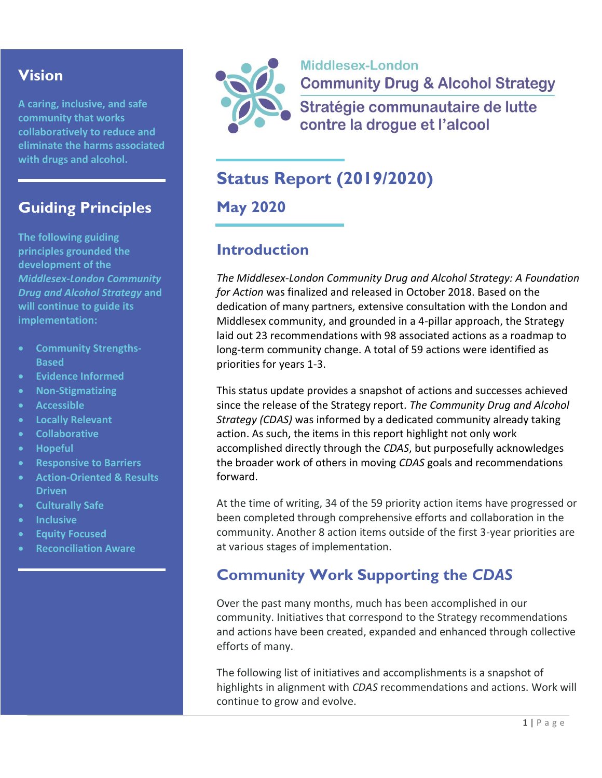## **Vision**

**A caring, inclusive, and safe community that works collaboratively to reduce and eliminate the harms associated with drugs and alcohol.**

## **Guiding Principles**

**The following guiding principles grounded the development of the**  *Middlesex-London Community Drug and Alcohol Strategy* **and will continue to guide its implementation:**

- **Community Strengths-Based**
- **Evidence Informed**
- **Non-Stigmatizing**
- **Accessible**
- **Locally Relevant**
- **Collaborative**
- **Hopeful**
- **Responsive to Barriers**
- **Action-Oriented & Results Driven**
- **Culturally Safe**
- **Inclusive**
- **Equity Focused**
- **Reconciliation Aware**



Middlesex-London **Community Drug & Alcohol Strategy** Stratégie communautaire de lutte contre la drogue et l'alcool

# **Status Report (2019/2020)**

**May 2020**

## **Introduction**

*The Middlesex-London Community Drug and Alcohol Strategy: A Foundation for Action* was finalized and released in October 2018. Based on the dedication of many partners, extensive consultation with the London and Middlesex community, and grounded in a 4-pillar approach, the Strategy laid out 23 recommendations with 98 associated actions as a roadmap to long-term community change. A total of 59 actions were identified as priorities for years 1-3.

This status update provides a snapshot of actions and successes achieved since the release of the Strategy report. *The Community Drug and Alcohol Strategy (CDAS)* was informed by a dedicated community already taking action. As such, the items in this report highlight not only work accomplished directly through the *CDAS*, but purposefully acknowledges the broader work of others in moving *CDAS* goals and recommendations forward.

At the time of writing, 34 of the 59 priority action items have progressed or been completed through comprehensive efforts and collaboration in the community. Another 8 action items outside of the first 3-year priorities are at various stages of implementation.

# **Community Work Supporting the** *CDAS*

Over the past many months, much has been accomplished in our community. Initiatives that correspond to the Strategy recommendations and actions have been created, expanded and enhanced through collective efforts of many.

The following list of initiatives and accomplishments is a snapshot of highlights in alignment with *CDAS* recommendations and actions. Work will continue to grow and evolve.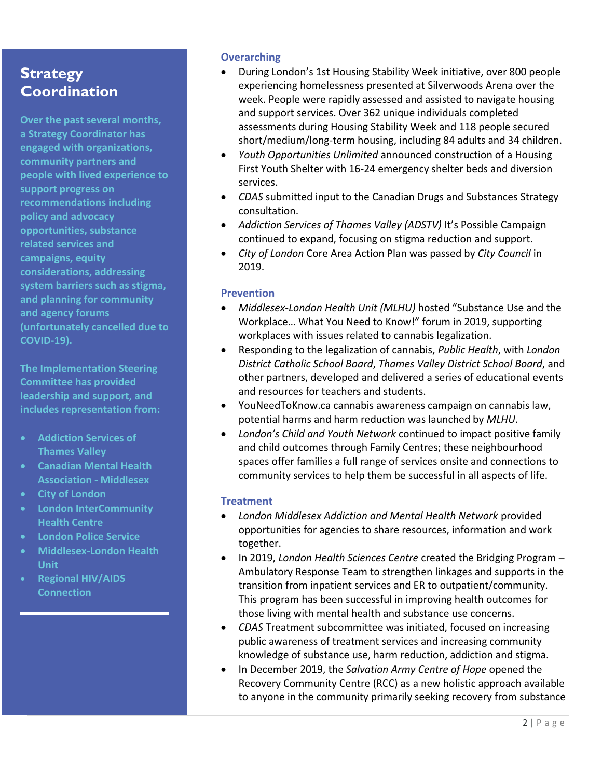## **Strategy Coordination**

**Over the past several months, a Strategy Coordinator has engaged with organizations, community partners and people with lived experience to support progress on recommendations including policy and advocacy opportunities, substance related services and campaigns, equity considerations, addressing system barriers such as stigma, and planning for community and agency forums (unfortunately cancelled due to COVID-19).**

**The Implementation Steering Committee has provided leadership and support, and includes representation from:**

- **Addiction Services of Thames Valley**
- **Canadian Mental Health Association - Middlesex**
- **City of London**
- **London InterCommunity Health Centre**
- **London Police Service**
- **Middlesex-London Health Unit**
- **Regional HIV/AIDS Connection**

### **Overarching**

- During London's 1st Housing Stability Week initiative, over 800 people experiencing homelessness presented at Silverwoods Arena over the week. People were rapidly assessed and assisted to navigate housing and support services. Over 362 unique individuals completed assessments during Housing Stability Week and 118 people secured short/medium/long-term housing, including 84 adults and 34 children.
- *Youth Opportunities Unlimited* announced construction of a Housing First Youth Shelter with 16-24 emergency shelter beds and diversion services.
- *CDAS* submitted input to the Canadian Drugs and Substances Strategy consultation.
- *Addiction Services of Thames Valley (ADSTV)* It's Possible Campaign continued to expand, focusing on stigma reduction and support.
- *City of London* Core Area Action Plan was passed by *City Council* in 2019.

#### **Prevention**

- *Middlesex-London Health Unit (MLHU)* hosted "Substance Use and the Workplace… What You Need to Know!" forum in 2019, supporting workplaces with issues related to cannabis legalization.
- Responding to the legalization of cannabis, *Public Health*, with *London District Catholic School Board*, *Thames Valley District School Board*, and other partners, developed and delivered a series of educational events and resources for teachers and students.
- YouNeedToKnow.ca cannabis awareness campaign on cannabis law, potential harms and harm reduction was launched by *MLHU*.
- *London's Child and Youth Network* continued to impact positive family and child outcomes through Family Centres; these neighbourhood spaces offer families a full range of services onsite and connections to community services to help them be successful in all aspects of life.

#### **Treatment**

- *London Middlesex Addiction and Mental Health Network* provided opportunities for agencies to share resources, information and work together.
- In 2019, *London Health Sciences Centre* created the Bridging Program Ambulatory Response Team to strengthen linkages and supports in the transition from inpatient services and ER to outpatient/community. This program has been successful in improving health outcomes for those living with mental health and substance use concerns.
- *CDAS* Treatment subcommittee was initiated, focused on increasing public awareness of treatment services and increasing community knowledge of substance use, harm reduction, addiction and stigma.
- In December 2019, the *Salvation Army Centre of Hope* opened the Recovery Community Centre (RCC) as a new holistic approach available to anyone in the community primarily seeking recovery from substance